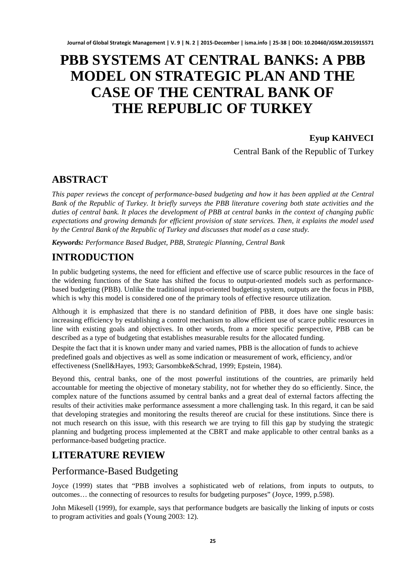# **PBB SYSTEMS AT CENTRAL BANKS: A PBB MODEL ON STRATEGIC PLAN AND THE CASE OF THE CENTRAL BANK OF THE REPUBLIC OF TURKEY**

### **Eyup KAHVECI**

Central Bank of the Republic of Turkey

# **ABSTRACT**

*This paper reviews the concept of performance-based budgeting and how it has been applied at the Central Bank of the Republic of Turkey. It briefly surveys the PBB literature covering both state activities and the duties of central bank. It places the development of PBB at central banks in the context of changing public expectations and growing demands for efficient provision of state services. Then, it explains the model used by the Central Bank of the Republic of Turkey and discusses that model as a case study.* 

*Keywords: Performance Based Budget, PBB, Strategic Planning, Central Bank*

# **INTRODUCTION**

In public budgeting systems, the need for efficient and effective use of scarce public resources in the face of the widening functions of the State has shifted the focus to output-oriented models such as performancebased budgeting (PBB). Unlike the traditional input-oriented budgeting system, outputs are the focus in PBB, which is why this model is considered one of the primary tools of effective resource utilization.

Although it is emphasized that there is no standard definition of PBB, it does have one single basis: increasing efficiency by establishing a control mechanism to allow efficient use of scarce public resources in line with existing goals and objectives. In other words, from a more specific perspective, PBB can be described as a type of budgeting that establishes measurable results for the allocated funding.

Despite the fact that it is known under many and varied names, PBB is the allocation of funds to achieve predefined goals and objectives as well as some indication or measurement of work, efficiency, and/or effectiveness (Snell&Hayes, 1993; Garsombke&Schrad, 1999; Epstein, 1984).

Beyond this, central banks, one of the most powerful institutions of the countries, are primarily held accountable for meeting the objective of monetary stability, not for whether they do so efficiently. Since, the complex nature of the functions assumed by central banks and a great deal of external factors affecting the results of their activities make performance assessment a more challenging task. In this regard, it can be said that developing strategies and monitoring the results thereof are crucial for these institutions. Since there is not much research on this issue, with this research we are trying to fill this gap by studying the strategic planning and budgeting process implemented at the CBRT and make applicable to other central banks as a performance-based budgeting practice.

# **LITERATURE REVIEW**

### Performance-Based Budgeting

Joyce (1999) states that "PBB involves a sophisticated web of relations, from inputs to outputs, to outcomes… the connecting of resources to results for budgeting purposes" (Joyce, 1999, p.598).

John Mikesell (1999), for example, says that performance budgets are basically the linking of inputs or costs to program activities and goals (Young 2003: 12).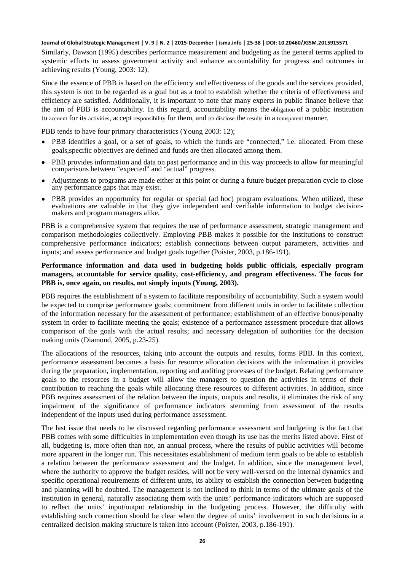Similarly, Dawson (1995) describes performance measurement and budgeting as the general terms applied to systemic efforts to assess government activity and enhance accountability for progress and outcomes in achieving results (Young, 2003: 12).

Since the essence of PBB is based on the efficiency and effectiveness of the goods and the services provided, this system is not to be regarded as a goal but as a tool to establish whether the criteria of effectiveness and efficiency are satisfied. Additionally, it is important to note that many experts in public finance believe that the aim of PBB is accountability. In this regard, accountability means the [obligation](http://www.businessdictionary.com/definition/obligation.html) of a public institution to [account](http://www.businessdictionary.com/definition/account.html) for its [activities,](http://www.businessdictionary.com/definition/activity.html) accept [responsibility](http://www.businessdictionary.com/definition/responsibility.html) for them, and to [disclose](http://www.businessdictionary.com/definition/disclosure.html) the [results](http://www.businessdictionary.com/definition/result.html) in a [transparent](http://www.businessdictionary.com/definition/transparent.html) manner.

PBB tends to have four primary characteristics (Young 2003: 12);

- PBB identifies a goal, or a set of goals, to which the funds are "connected," i.e. allocated. From these goals,specific objectives are defined and funds are then allocated among them.
- PBB provides information and data on past performance and [in](http://www2.zargan.com/tr/q/in%20this%20way-ceviri-nedir/in%20this%20way-turkce-ne-demek) this way proceeds to allow for meaningful comparisons between "expected" and "actual" progress.
- Adjustments to programs are made either at this point or during a future budget preparation cycle to close any performance gaps that may exist.
- PBB provides an opportunity for regular or special (ad hoc) program evaluations. When utilized, these evaluations are valuable in that they give independent and verifiable information to budget decision- makers and program managers alike.

PBB is a comprehensive system that requires the use of performance assessment, strategic management and comparison methodologies collectively. Employing PBB makes it possible for the institutions to construct comprehensive performance indicators; establish connections between output parameters, activities and inputs; and assess performance and budget goals together (Poister, 2003, p.186-191).

#### **Performance information and data used in budgeting holds public officials, especially program managers, accountable for service quality, cost-efficiency, and program effectiveness. The focus for PBB is, once again, on results, not simply inputs (Young, 2003).**

PBB requires the establishment of a system to facilitate responsibility of accountability. Such a system would be expected to comprise performance goals; commitment from different units in order to facilitate collection of the information necessary for the assessment of performance; establishment of an effective bonus/penalty system in order to facilitate meeting the goals; existence of a performance assessment procedure that allows comparison of the goals with the actual results; and necessary delegation of authorities for the decision making units (Diamond, 2005, p.23-25).

The allocations of the resources, taking into account the outputs and results, forms PBB. In this context, performance assessment becomes a basis for resource allocation decisions with the information it provides during the preparation, implementation, reporting and auditing processes of the budget. Relating performance goals to the resources in a budget will allow the managers to question the activities in terms of their contribution to reaching the goals while allocating these resources to different activities. In addition, since PBB requires assessment of the relation between the inputs, outputs and results, it eliminates the risk of any impairment of the significance of performance indicators stemming from assessment of the results independent of the inputs used during performance assessment.

The last issue that needs to be discussed regarding performance assessment and budgeting is the fact that PBB comes with some difficulties in implementation even though its use has the merits listed above. First of all, budgeting is, more often than not, an annual process, where the results of public activities will become more apparent in the longer run. This necessitates establishment of medium term goals to be able to establish a relation between the performance assessment and the budget. In addition, since the management level, where the authority to approve the budget resides, will not be very well-versed on the internal dynamics and specific operational requirements of different units, its ability to establish the connection between budgeting and planning will be doubted. The management is not inclined to think in terms of the ultimate goals of the institution in general, naturally associating them with the units' performance indicators which are supposed to reflect the units' input/output relationship in the budgeting process. However, the difficulty with establishing such connection should be clear when the degree of units' involvement in such decisions in a centralized decision making structure is taken into account (Poister, 2003, p.186-191).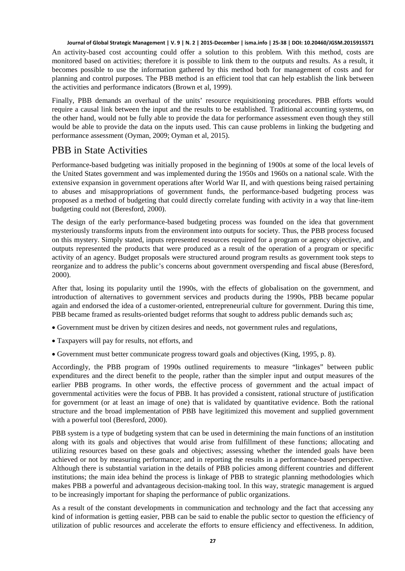An activity-based cost accounting could offer a solution to this problem. With this method, costs are monitored based on activities; therefore it is possible to link them to the outputs and results. As a result, it becomes possible to use the information gathered by this method both for management of costs and for planning and control purposes. The PBB method is an efficient tool that can help establish the link between the activities and performance indicators (Brown et al, 1999).

Finally, PBB demands an overhaul of the units' resource requisitioning procedures. PBB efforts would require a causal link between the input and the results to be established. Traditional accounting systems, on the other hand, would not be fully able to provide the data for performance assessment even though they still would be able to provide the data on the inputs used. This can cause problems in linking the budgeting and performance assessment (Oyman, 2009; Oyman et al, 2015).

### PBB in State Activities

Performance-based budgeting was initially proposed in the beginning of 1900s at some of the local levels of the United States government and was implemented during the 1950s and 1960s on a national scale. With the extensive expansion in government operations after World War II, and with questions being raised pertaining to abuses and misappropriations of government funds, the performance-based budgeting process was proposed as a method of budgeting that could directly correlate funding with activity in a way that line-item budgeting could not (Beresford, 2000).

The design of the early performance-based budgeting process was founded on the idea that government mysteriously transforms inputs from the environment into outputs for society. Thus, the PBB process focused on this mystery. Simply stated, inputs represented resources required for a program or agency objective, and outputs represented the products that were produced as a result of the operation of a program or specific activity of an agency. Budget proposals were structured around program results as government took steps to reorganize and to address the public's concerns about government overspending and fiscal abuse (Beresford, 2000).

After that, losing its popularity until the 1990s, with the effects of globalisation on the government, and introduction of alternatives to government services and products during the 1990s, PBB became popular again and endorsed the idea of a customer-oriented, entrepreneurial culture for government. During this time, PBB became framed as results-oriented budget reforms that sought to address public demands such as;

- Government must be driven by citizen desires and needs, not government rules and regulations,
- Taxpayers will pay for results, not efforts, and
- Government must better communicate progress toward goals and objectives (King, 1995, p. 8).

Accordingly, the PBB program of 1990s outlined requirements to measure "linkages" between public expenditures and the direct benefit to the people, rather than the simpler input and output measures of the earlier PBB programs. In other words, the effective process of government and the actual impact of governmental activities were the focus of PBB. It has provided a consistent, rational structure of justification for government (or at least an image of one) that is validated by quantitative evidence. Both the rational structure and the broad implementation of PBB have legitimized this movement and supplied government with a powerful tool (Beresford, 2000).

PBB system is a type of budgeting system that can be used in determining the main functions of an institution along with its goals and objectives that would arise from fulfillment of these functions; allocating and utilizing resources based on these goals and objectives; assessing whether the intended goals have been achieved or not by measuring performance; and in reporting the results in a performance-based perspective. Although there is substantial variation in the details of PBB policies among different countries and different institutions; the main idea behind the process is linkage of PBB to strategic planning methodologies which makes PBB a powerful and advantageous decision-making tool. In this way, strategic management is argued to be increasingly important for shaping the performance of public organizations.

As a result of the constant developments in communication and technology and the fact that accessing any kind of information is getting easier, PBB can be said to enable the public sector to question the efficiency of utilization of public resources and accelerate the efforts to ensure efficiency and effectiveness. In addition,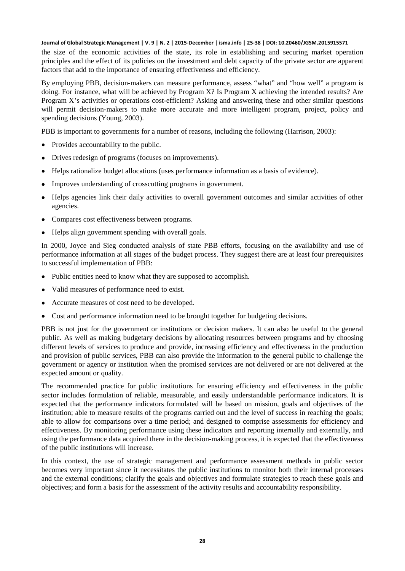the size of the economic activities of the state, its role in establishing and securing market operation principles and the effect of its policies on the investment and debt capacity of the private sector are apparent factors that add to the importance of ensuring effectiveness and efficiency.

By employing PBB, decision-makers can measure performance, assess "what" and "how well" a program is doing. For instance, what will be achieved by Program X? Is Program X achieving the intended results? Are Program X's activities or operations cost-efficient? Asking and answering these and other similar questions will permit decision-makers to make more accurate and more intelligent program, project, policy and spending decisions (Young, 2003).

PBB is important to governments for a number of reasons, including the following (Harrison, 2003):

- Provides accountability to the public.
- Drives redesign of programs (focuses on improvements).
- Helps rationalize budget allocations (uses performance information as a basis of evidence).
- Improves understanding of crosscutting programs in government.
- Helps agencies link their daily activities to overall government outcomes and similar activities of other agencies.
- Compares cost effectiveness between programs.
- Helps align government spending with overall goals.

In 2000, Joyce and Sieg conducted analysis of state PBB efforts, focusing on the availability and use of performance information at all stages of the budget process. They suggest there are at least four prerequisites to successful implementation of PBB:

- Public entities need to know what they are supposed to accomplish.
- Valid measures of performance need to exist.
- Accurate measures of cost need to be developed.
- Cost and performance information need to be brought together for budgeting decisions.

PBB is not just for the government or institutions or decision makers. It can also be useful to the general public. As well as making budgetary decisions by allocating resources between programs and by choosing different levels of services to produce and provide, increasing efficiency and effectiveness in the production and provision of public services, PBB can also provide the information to the general public to challenge the government or agency or institution when the promised services are not delivered or are not delivered at the expected amount or quality.

The recommended practice for public institutions for ensuring efficiency and effectiveness in the public sector includes formulation of reliable, measurable, and easily understandable performance indicators. It is expected that the performance indicators formulated will be based on mission, goals and objectives of the institution; able to measure results of the programs carried out and the level of success in reaching the goals; able to allow for comparisons over a time period; and designed to comprise assessments for efficiency and effectiveness. By monitoring performance using these indicators and reporting internally and externally, and using the performance data acquired there in the decision-making process, it is expected that the effectiveness of the public institutions will increase.

In this context, the use of strategic management and performance assessment methods in public sector becomes very important since it necessitates the public institutions to monitor both their internal processes and the external conditions; clarify the goals and objectives and formulate strategies to reach these goals and objectives; and form a basis for the assessment of the activity results and accountability responsibility.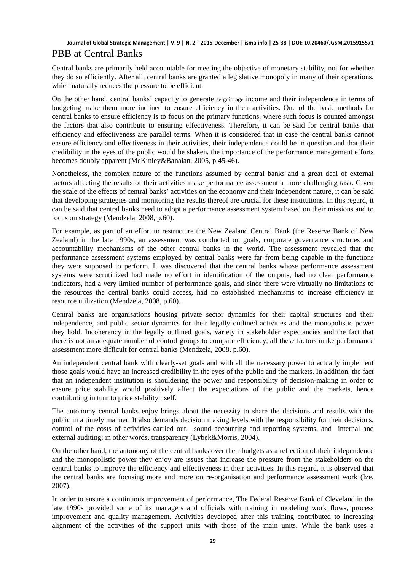### **Journal of Global Strategic Management | V. 9 | N. 2 | 2015-December | isma.info | 25-38 | DOI: 10.20460/JGSM.2015915571** PBB at Central Banks

Central banks are primarily held accountable for meeting the objective of monetary stability, not for whether they do so efficiently. After all, central banks are granted a legislative monopoly in many of their operations, which naturally reduces the pressure to be efficient.

On the other hand, central banks' capacity to generate [seigniorage](http://en.wikipedia.org/wiki/Seigniorage) income and their independence in terms of budgeting make them more inclined to ensure efficiency in their activities. One of the basic methods for central banks to ensure efficiency is to focus on the primary functions, where such focus is counted amongst the factors that also contribute to ensuring effectiveness. Therefore, it can be said for central banks that efficiency and effectiveness are parallel terms. When it is considered that in case the central banks cannot ensure efficiency and effectiveness in their activities, their independence could be in question and that their credibility in the eyes of the public would be shaken, the importance of the performance management efforts becomes doubly apparent (McKinley&Banaian, 2005, p.45-46).

Nonetheless, the complex nature of the functions assumed by central banks and a great deal of external factors affecting the results of their activities make performance assessment a more challenging task. Given the scale of the effects of central banks' activities on the economy and their independent nature, it can be said that developing strategies and monitoring the results thereof are crucial for these institutions. In this regard, it can be said that central banks need to adopt a performance assessment system based on their missions and to focus on strategy (Mendzela, 2008, p.60).

For example, as part of an effort to restructure the New Zealand Central Bank (the Reserve Bank of New Zealand) in the late 1990s, an assessment was conducted on goals, corporate governance structures and accountability mechanisms of the other central banks in the world. The assessment revealed that the performance assessment systems employed by central banks were far from being capable in the functions they were supposed to perform. It was discovered that the central banks whose performance assessment systems were scrutinized had made no effort in identification of the outputs, had no clear performance indicators, had a very limited number of performance goals, and since there were virtually no limitations to the resources the central banks could access, had no established mechanisms to increase efficiency in resource utilization (Mendzela, 2008, p.60).

Central banks are organisations housing private sector dynamics for their capital structures and their independence, and public sector dynamics for their legally outlined activities and the monopolistic power they hold. Incoherency in the legally outlined goals, variety in stakeholder expectancies and the fact that there is not an adequate number of control groups to compare efficiency, all these factors make performance assessment more difficult for central banks (Mendzela, 2008, p.60).

An independent central bank with clearly-set goals and with all the necessary power to actually implement those goals would have an increased credibility in the eyes of the public and the markets. In addition, the fact that an independent institution is shouldering the power and responsibility of decision-making in order to ensure price stability would positively affect the expectations of the public and the markets, hence contributing in turn to price stability itself.

The autonomy central banks enjoy brings about the necessity to share the decisions and results with the public in a timely manner. It also demands decision making levels with the responsibility for their decisions, control of the costs of activities carried out, sound accounting and reporting systems, and internal and external auditing; in other words, transparency (Lybek&Morris, 2004).

On the other hand, the autonomy of the central banks over their budgets as a reflection of their independence and the monopolistic power they enjoy are issues that increase the pressure from the stakeholders on the central banks to improve the efficiency and effectiveness in their activities. In this regard, it is observed that the central banks are focusing more and more on re-organisation and performance assessment work (Ize, 2007).

In order to ensure a continuous improvement of performance, The Federal Reserve Bank of Cleveland in the late 1990s provided some of its managers and officials with training in modeling work flows, process improvement and quality management. Activities developed after this training contributed to increasing alignment of the activities of the support units with those of the main units. While the bank uses a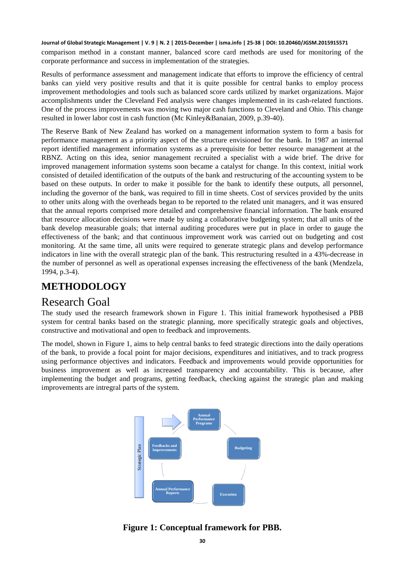comparison method in a constant manner, balanced score card methods are used for monitoring of the corporate performance and success in implementation of the strategies.

Results of performance assessment and management indicate that efforts to improve the efficiency of central banks can yield very positive results and that it is quite possible for central banks to employ process improvement methodologies and tools such as balanced score cards utilized by market organizations. Major accomplishments under the Cleveland Fed analysis were changes implemented in its cash-related functions. One of the process improvements was moving two major cash functions to Cleveland and Ohio. This change resulted in lower labor cost in cash function (Mc Kinley&Banaian, 2009, p.39-40).

The Reserve Bank of New Zealand has worked on a management information system to form a basis for performance management as a priority aspect of the structure envisioned for the bank. In 1987 an internal report identified management information systems as a prerequisite for better resource management at the RBNZ. Acting on this idea, senior management recruited a specialist with a wide brief. The drive for improved management information systems soon became a catalyst for change. In this context, initial work consisted of detailed identification of the outputs of the bank and restructuring of the accounting system to be based on these outputs. In order to make it possible for the bank to identify these outputs, all personnel, including the governor of the bank, was required to fill in time sheets. Cost of services provided by the units to other units along with the overheads began to be reported to the related unit managers, and it was ensured that the annual reports comprised more detailed and comprehensive financial information. The bank ensured that resource allocation decisions were made by using a collaborative budgeting system; that all units of the bank develop measurable goals; that internal auditing procedures were put in place in order to gauge the effectiveness of the bank; and that continuous improvement work was carried out on budgeting and cost monitoring. At the same time, all units were required to generate strategic plans and develop performance indicators in line with the overall strategic plan of the bank. This restructuring resulted in a 43%-decrease in the number of personnel as well as operational expenses increasing the effectiveness of the bank (Mendzela, 1994, p.3-4).

# **METHODOLOGY**

# Research Goal

The study used the research framework shown in Figure 1. This initial framework hypothesised a PBB system for central banks based on the strategic planning, more specifically strategic goals and objectives, constructive and motivational and open to feedback and improvements.

The model, shown in Figure 1, aims to help central banks to feed strategic directions into the daily operations of the bank, to provide a focal point for major decisions, expenditures and initiatives, and to track progress using performance objectives and indicators. Feedback and improvements would provide opportunities for business improvement as well as increased transparency and accountability. This is because, after implementing the budget and programs, getting feedback, checking against the strategic plan and making improvements are intregral parts of the system.



**Figure 1: Conceptual framework for PBB.**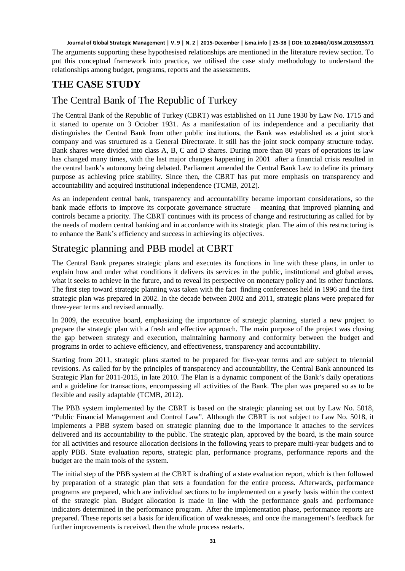The arguments supporting these hypothesised relationships are mentioned in the literature review section. To put this conceptual framework into practice, we utilised the case study methodology to understand the relationships among budget, programs, reports and the assessments.

# **THE CASE STUDY**

## The Central Bank of The Republic of Turkey

The Central Bank of the Republic of Turkey (CBRT) was established on 11 June 1930 by Law No. 1715 and it started to operate on 3 October 1931. As a manifestation of its independence and a peculiarity that distinguishes the Central Bank from other public institutions, the Bank was established as a joint stock company and was structured as a General Directorate. It still has the joint stock company structure today. Bank shares were divided into class A, B, C and D shares. During more than 80 years of operations its law has changed many times, with the last major changes happening in 2001 after a financial crisis resulted in the central bank's autonomy being debated. Parliament amended the Central Bank Law to define its primary purpose as achieving price stability. Since then, the CBRT has put more emphasis on transparency and accountability and acquired institutional independence (TCMB, 2012).

As an independent central bank, transparency and accountability became important considerations, so the bank made efforts to improve its corporate governance structure – meaning that improved planning and controls became a priority. The CBRT continues with its process of change and restructuring as called for by the needs of modern central banking and in accordance with its strategic plan. The aim of this restructuring is to enhance the Bank's efficiency and success in achieving its objectives.

# Strategic planning and PBB model at CBRT

The Central Bank prepares strategic plans and executes its functions in line with these plans, in order to explain how and under what conditions it delivers its services in the public, institutional and global areas, what it seeks to achieve in the future, and to reveal its perspective on monetary policy and its other functions. The first step toward strategic planning was taken with the fact–finding conferences held in 1996 and the first strategic plan was prepared in 2002. In the decade between 2002 and 2011, strategic plans were prepared for three-year terms and revised annually.

In 2009, the executive board, emphasizing the importance of strategic planning, started a new project to prepare the strategic plan with a fresh and effective approach. The main purpose of the project was closing the gap between strategy and execution, maintaining harmony and conformity between the budget and programs in order to achieve efficiency, and effectiveness, transparency and accountability.

Starting from 2011, strategic plans started to be prepared for five-year terms and are subject to triennial revisions. As called for by the principles of transparency and accountability, the Central Bank announced its Strategic Plan for 2011-2015, in late 2010. The Plan is a dynamic component of the Bank's daily operations and a guideline for transactions, encompassing all activities of the Bank. The plan was prepared so as to be flexible and easily adaptable (TCMB, 2012).

The PBB system implemented by the CBRT is based on the strategic planning set out by Law No. 5018, "Public Financial Management and Control Law". Although the CBRT is not subject to Law No. 5018, it implements a PBB system based on strategic planning due to the importance it attaches to the services delivered and its accountability to the public. The strategic plan, approved by the board, is the main source for all activities and resource allocation decisions in the following years to prepare multi-year budgets and to apply PBB. State evaluation reports, strategic plan, performance programs, performance reports and the budget are the main tools of the system.

The initial step of the PBB system at the CBRT is drafting of a state evaluation report, which is then followed by preparation of a strategic plan that sets a foundation for the entire process. Afterwards, performance programs are prepared, which are individual sections to be implemented on a yearly basis within the context of the strategic plan. Budget allocation is made in line with the performance goals and performance indicators determined in the performance program. After the implementation phase, performance reports are prepared. These reports set a basis for identification of weaknesses, and once the management's feedback for further improvements is received, then the whole process restarts.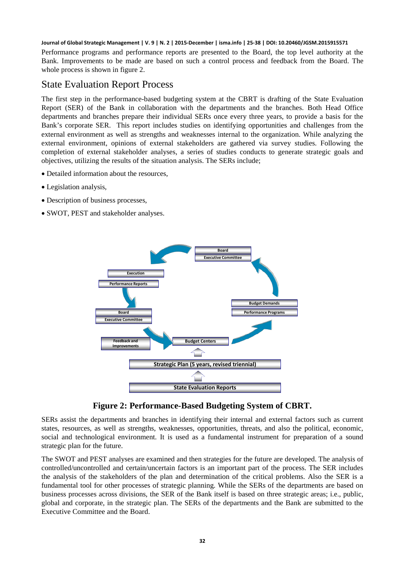Performance programs and performance reports are presented to the Board, the top level authority at the Bank. Improvements to be made are based on such a control process and feedback from the Board. The whole process is shown in figure 2.

### State Evaluation Report Process

The first step in the performance-based budgeting system at the CBRT is drafting of the State Evaluation Report (SER) of the Bank in collaboration with the departments and the branches. Both Head Office departments and branches prepare their individual SERs once every three years, to provide a basis for the Bank's corporate SER. This report includes studies on identifying opportunities and challenges from the external environment as well as strengths and weaknesses internal to the organization. While analyzing the external environment, opinions of external stakeholders are gathered via survey studies. Following the completion of external stakeholder analyses, a series of studies conducts to generate strategic goals and objectives, utilizing the results of the situation analysis. The SERs include;

- Detailed information about the resources,
- Legislation analysis,
- Description of business processes,
- SWOT, PEST and stakeholder analyses.





SERs assist the departments and branches in identifying their internal and external factors such as current states, resources, as well as strengths, weaknesses, opportunities, threats, and also the political, economic, social and technological environment. It is used as a fundamental instrument for preparation of a sound strategic plan for the future.

The SWOT and PEST analyses are examined and then strategies for the future are developed. The analysis of controlled/uncontrolled and certain/uncertain factors is an important part of the process. The SER includes the analysis of the stakeholders of the plan and determination of the critical problems. Also the SER is a fundamental tool for other processes of strategic planning. While the SERs of the departments are based on business processes across divisions, the SER of the Bank itself is based on three strategic areas; i.e., public, global and corporate, in the strategic plan. The SERs of the departments and the Bank are submitted to the Executive Committee and the Board.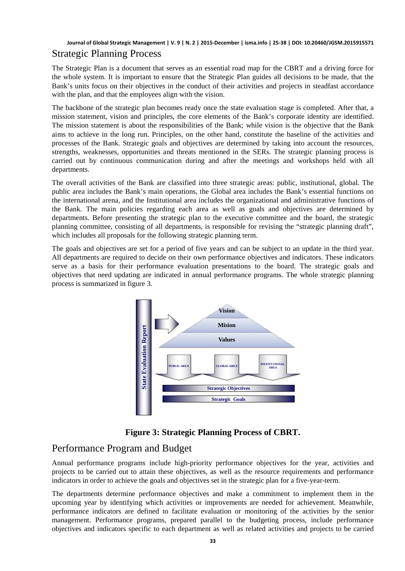### **Journal of Global Strategic Management | V. 9 | N. 2 | 2015-December | isma.info | 25-38 | DOI: 10.20460/JGSM.2015915571** Strategic Planning Process

The Strategic Plan is a document that serves as an essential road map for the CBRT and a driving force for the whole system. It is important to ensure that the Strategic Plan guides all decisions to be made, that the Bank's units focus on their objectives in the conduct of their activities and projects in steadfast accordance with the plan, and that the employees align with the vision.

The backbone of the strategic plan becomes ready once the state evaluation stage is completed. After that, a mission statement, vision and principles, the core elements of the Bank's corporate identity are identified. The mission statement is about the responsibilities of the Bank; while vision is the objective that the Bank aims to achieve in the long run. Principles, on the other hand, constitute the baseline of the activities and processes of the Bank. Strategic goals and objectives are determined by taking into account the resources, strengths, weaknesses, opportunities and threats mentioned in the SERs. The strategic planning process is carried out by continuous communication during and after the meetings and workshops held with all departments.

The overall activities of the Bank are classified into three strategic areas: public, institutional, global. The public area includes the Bank's main operations, the Global area includes the Bank's essential functions on the international arena, and the Institutional area includes the organizational and administrative functions of the Bank. The main policies regarding each area as well as goals and objectives are determined by departments. Before presenting the strategic plan to the executive committee and the board, the strategic planning committee, consisting of all departments, is responsible for revising the "strategic planning draft", which includes all proposals for the following strategic planning term.

The goals and objectives are set for a period of five years and can be subject to an update in the third year. All departments are required to decide on their own performance objectives and indicators. These indicators serve as a basis for their performance evaluation presentations to the board. The strategic goals and objectives that need updating are indicated in annual performance programs. The whole strategic planning process is summarized in figure 3.



**Figure 3: Strategic Planning Process of CBRT.** 

# Performance Program and Budget

Annual performance programs include high-priority performance objectives for the year, activities and projects to be carried out to attain these objectives, as well as the resource requirements and performance indicators in order to achieve the goals and objectives set in the strategic plan for a five-year-term.

The departments determine performance objectives and make a commitment to implement them in the upcoming year by identifying which activities or improvements are needed for achievement. Meanwhile, performance indicators are defined to facilitate evaluation or monitoring of the activities by the senior management. Performance programs, prepared parallel to the budgeting process, include performance objectives and indicators specific to each department as well as related activities and projects to be carried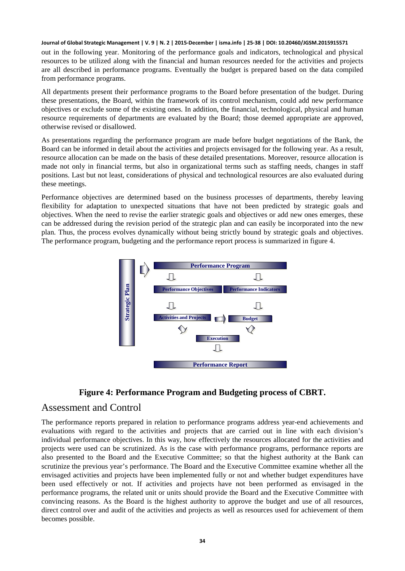out in the following year. Monitoring of the performance goals and indicators, technological and physical resources to be utilized along with the financial and human resources needed for the activities and projects are all described in performance programs. Eventually the budget is prepared based on the data compiled from performance programs.

All departments present their performance programs to the Board before presentation of the budget. During these presentations, the Board, within the framework of its control mechanism, could add new performance objectives or exclude some of the existing ones. In addition, the financial, technological, physical and human resource requirements of departments are evaluated by the Board; those deemed appropriate are approved, otherwise revised or disallowed.

As presentations regarding the performance program are made before budget negotiations of the Bank, the Board can be informed in detail about the activities and projects envisaged for the following year. As a result, resource allocation can be made on the basis of these detailed presentations. Moreover, resource allocation is made not only in financial terms, but also in organizational terms such as staffing needs, changes in staff positions. Last but not least, considerations of physical and technological resources are also evaluated during these meetings.

Performance objectives are determined based on the business processes of departments, thereby leaving flexibility for adaptation to unexpected situations that have not been predicted by strategic goals and objectives. When the need to revise the earlier strategic goals and objectives or add new ones emerges, these can be addressed during the revision period of the strategic plan and can easily be incorporated into the new plan. Thus, the process evolves dynamically without being strictly bound by strategic goals and objectives. The performance program, budgeting and the performance report process is summarized in figure 4.





#### Assessment and Control

The performance reports prepared in relation to performance programs address year-end achievements and evaluations with regard to the activities and projects that are carried out in line with each division's individual performance objectives. In this way, how effectively the resources allocated for the activities and projects were used can be scrutinized. As is the case with performance programs, performance reports are also presented to the Board and the Executive Committee; so that the highest authority at the Bank can scrutinize the previous year's performance. The Board and the Executive Committee examine whether all the envisaged activities and projects have been implemented fully or not and whether budget expenditures have been used effectively or not. If activities and projects have not been performed as envisaged in the performance programs, the related unit or units should provide the Board and the Executive Committee with convincing reasons. As the Board is the highest authority to approve the budget and use of all resources, direct control over and audit of the activities and projects as well as resources used for achievement of them becomes possible.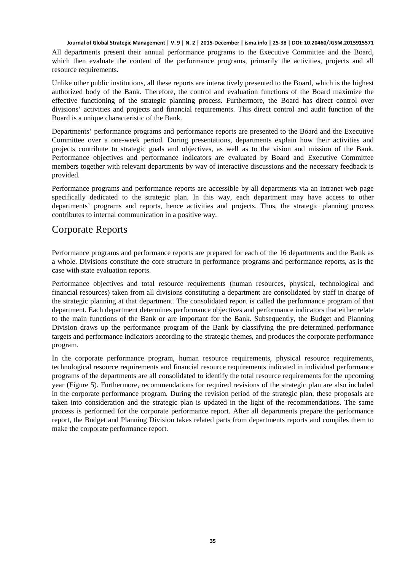All departments present their annual performance programs to the Executive Committee and the Board, which then evaluate the content of the performance programs, primarily the activities, projects and all resource requirements.

Unlike other public institutions, all these reports are interactively presented to the Board, which is the highest authorized body of the Bank. Therefore, the control and evaluation functions of the Board maximize the effective functioning of the strategic planning process. Furthermore, the Board has direct control over divisions' activities and projects and financial requirements. This direct control and audit function of the Board is a unique characteristic of the Bank.

Departments' performance programs and performance reports are presented to the Board and the Executive Committee over a one-week period. During presentations, departments explain how their activities and projects contribute to strategic goals and objectives, as well as to the vision and mission of the Bank. Performance objectives and performance indicators are evaluated by Board and Executive Committee members together with relevant departments by way of interactive discussions and the necessary feedback is provided.

Performance programs and performance reports are accessible by all departments via an intranet web page specifically dedicated to the strategic plan. In this way, each department may have access to other departments' programs and reports, hence activities and projects. Thus, the strategic planning process contributes to internal communication in a positive way.

### Corporate Reports

Performance programs and performance reports are prepared for each of the 16 departments and the Bank as a whole. Divisions constitute the core structure in performance programs and performance reports, as is the case with state evaluation reports.

Performance objectives and total resource requirements (human resources, physical, technological and financial resources) taken from all divisions constituting a department are consolidated by staff in charge of the strategic planning at that department. The consolidated report is called the performance program of that department. Each department determines performance objectives and performance indicators that either relate to the main functions of the Bank or are important for the Bank. Subsequently, the Budget and Planning Division draws up the performance program of the Bank by classifying the pre-determined performance targets and performance indicators according to the strategic themes, and produces the corporate performance program.

In the corporate performance program, human resource requirements, physical resource requirements, technological resource requirements and financial resource requirements indicated in individual performance programs of the departments are all consolidated to identify the total resource requirements for the upcoming year (Figure 5). Furthermore, recommendations for required revisions of the strategic plan are also included in the corporate performance program. During the revision period of the strategic plan, these proposals are taken into consideration and the strategic plan is updated in the light of the recommendations. The same process is performed for the corporate performance report. After all departments prepare the performance report, the Budget and Planning Division takes related parts from departments reports and compiles them to make the corporate performance report.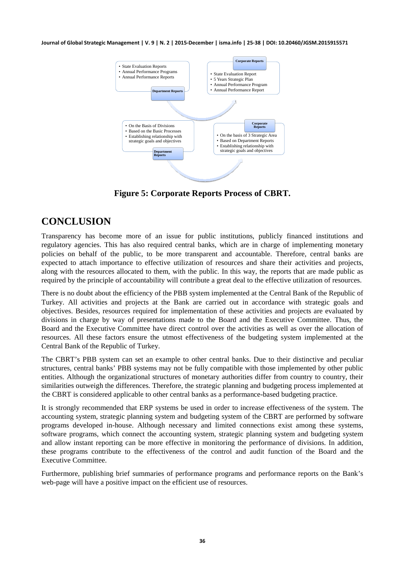

**Figure 5: Corporate Reports Process of CBRT.**

# **CONCLUSION**

Transparency has become more of an issue for public institutions, publicly financed institutions and regulatory agencies. This has also required central banks, which are in charge of implementing monetary policies on behalf of the public, to be more transparent and accountable. Therefore, central banks are expected to attach importance to effective utilization of resources and share their activities and projects, along with the resources allocated to them, with the public. In this way, the reports that are made public as required by the principle of accountability will contribute a great deal to the effective utilization of resources.

There is no doubt about the efficiency of the PBB system implemented at the Central Bank of the Republic of Turkey. All activities and projects at the Bank are carried out in accordance with strategic goals and objectives. Besides, resources required for implementation of these activities and projects are evaluated by divisions in charge by way of presentations made to the Board and the Executive Committee. Thus, the Board and the Executive Committee have direct control over the activities as well as over the allocation of resources. All these factors ensure the utmost effectiveness of the budgeting system implemented at the Central Bank of the Republic of Turkey.

The CBRT's PBB system can set an example to other central banks. Due to their distinctive and peculiar structures, central banks' PBB systems may not be fully compatible with those implemented by other public entities. Although the organizational structures of monetary authorities differ from country to country, their similarities outweigh the differences. Therefore, the strategic planning and budgeting process implemented at the CBRT is considered applicable to other central banks as a performance-based budgeting practice.

It is strongly recommended that ERP systems be used in order to increase effectiveness of the system. The accounting system, strategic planning system and budgeting system of the CBRT are performed by software programs developed in-house. Although necessary and limited connections exist among these systems, software programs, which connect the accounting system, strategic planning system and budgeting system and allow instant reporting can be more effective in monitoring the performance of divisions. In addition, these programs contribute to the effectiveness of the control and audit function of the Board and the Executive Committee.

Furthermore, publishing brief summaries of performance programs and performance reports on the Bank's web-page will have a positive impact on the efficient use of resources.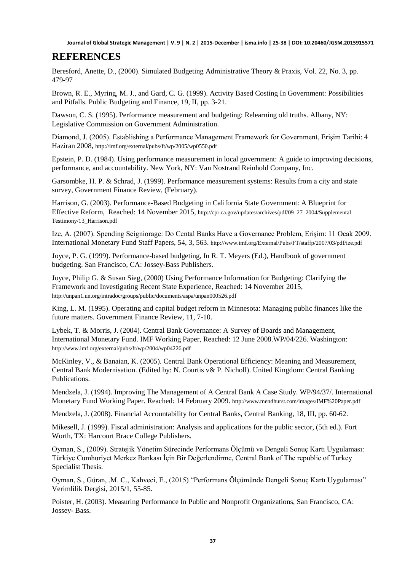### **REFERENCES**

Beresford, Anette, D., (2000). Simulated Budgeting Administrative Theory & Praxis, Vol. 22, No. 3, pp. 479-97

Brown, R. E., Myring, M. J., and Gard, C. G. (1999). Activity Based Costing In Government: Possibilities and Pitfalls. Public Budgeting and Finance, 19, II, pp. 3-21.

Dawson, C. S. (1995). Performance measurement and budgeting: Relearning old truths. Albany, NY: Legislative Commission on Government Administration.

Diamond, J. (2005). Establishing a Performance Management Framework for Government, Erişim Tarihi: 4 Haziran 2008,<http://imf.org/external/pubs/ft/wp/2005/wp0550.pdf>

Epstein, P. D. (1984). Using performance measurement in local government: A guide to improving decisions, performance, and accountability. New York, NY: Van Nostrand Reinhold Company, Inc.

Garsombke, H. P. & Schrad, J. (1999). Performance measurement systems: Results from a city and state survey, Government Finance Review, (February).

Harrison, G. (2003). Performance-Based Budgeting in California State Government: A Blueprint for Effective Reform, Reached: 14 November 2015, [http://cpr.ca.gov/updates/archives/pdf/09\\_27\\_2004/Supplemental](http://cpr.ca.gov/updates/archives/pdf/09_27_2004/Supplemental%20Testimony/13_Harrison.pdf)  [Testimony/13\\_Harrison.pdf](http://cpr.ca.gov/updates/archives/pdf/09_27_2004/Supplemental%20Testimony/13_Harrison.pdf)

Ize, A. (2007). Spending Seigniorage: Do Cental Banks Have a Governance Problem, Erişim: 11 Ocak 2009. International Monetary Fund Staff Papers, 54, 3, 563[. http://www.imf.org/External/Pubs/FT/staffp/2007/03/pdf/ize.pdf](http://www.imf.org/External/Pubs/FT/staffp/2007/03/pdf/ize.pdf)

Joyce, P. G. (1999). Performance-based budgeting, In R. T. Meyers (Ed.), Handbook of government budgeting. San Francisco, CA: Jossey-Bass Publishers.

Joyce, Philip G. & Susan Sieg, (2000) Using Performance Information for Budgeting: Clarifying the Framework and Investigating Recent State Experience, Reached: 14 November 2015, <http://unpan1.un.org/intradoc/groups/public/documents/aspa/unpan000526.pdf>

King, L. M. (1995). Operating and capital budget reform in Minnesota: Managing public finances like the future matters. Government Finance Review, 11, 7-10.

Lybek, T. & Morris, J. (2004). Central Bank Governance: A Survey of Boards and Management, International Monetary Fund. IMF Working Paper, Reached: 12 June 2008.WP/04/226. Washington: <http://www.imf.org/external/pubs/ft/wp/2004/wp04226.pdf>

McKinley, V., & Banaian, K. (2005). Central Bank Operational Efficiency: Meaning and Measurement, Central Bank Modernisation. (Edited by: N. Courtis v& P. Nicholl). United Kingdom: Central Banking Publications.

Mendzela, J. (1994). Improving The Management of A Central Bank A Case Study. WP/94/37/. International Monetary Fund Working Paper. Reached: 14 February 2009.<http://www.mendhurst.com/images/IMF%20Paper.pdf>

Mendzela, J. (2008). Financial Accountability for Central Banks, Central Banking, 18, III, pp. 60-62.

Mikesell, J. (1999). Fiscal administration: Analysis and applications for the public sector, (5th ed.). Fort Worth, TX: Harcourt Brace College Publishers.

Oyman, S., (2009). Stratejik Yönetim Sürecinde Performans Ölçümü ve Dengeli Sonuç Kartı Uygulaması: Türkiye Cumhuriyet Merkez Bankası İçin Bir Değerlendirme, Central Bank of The republic of Turkey Specialist Thesis.

Oyman, S., Güran, .M. C., Kahveci, E., (2015) "Performans Ölçümünde Dengeli Sonuç Kartı Uygulaması" Verimlilik Dergisi, 2015/1, 55-85.

Poister, H. (2003). Measuring Performance In Public and Nonprofit Organizations, San Francisco, CA: Jossey- Bass.